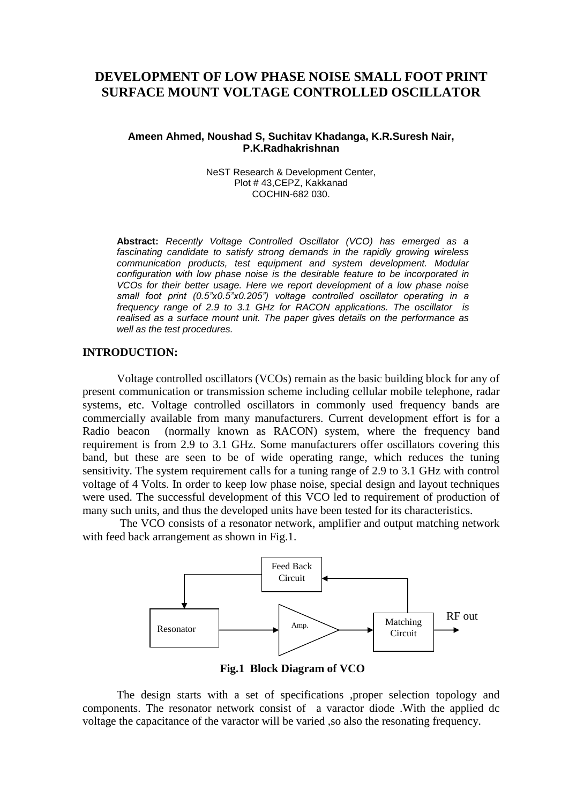# **DEVELOPMENT OF LOW PHASE NOISE SMALL FOOT PRINT SURFACE MOUNT VOLTAGE CONTROLLED OSCILLATOR**

### **Ameen Ahmed, Noushad S, Suchitav Khadanga, K.R.Suresh Nair, P.K.Radhakrishnan**

NeST Research & Development Center, Plot # 43,CEPZ, Kakkanad COCHIN-682 030.

**Abstract:** *Recently Voltage Controlled Oscillator (VCO) has emerged as a fascinating candidate to satisfy strong demands in the rapidly growing wireless communication products, test equipment and system development. Modular configuration with low phase noise is the desirable feature to be incorporated in VCOs for their better usage. Here we report development of a low phase noise small foot print (0.5"x0.5"x0.205") voltage controlled oscillator operating in a frequency range of 2.9 to 3.1 GHz for RACON applications. The oscillator is realised as a surface mount unit. The paper gives details on the performance as well as the test procedures.*

### **INTRODUCTION:**

Voltage controlled oscillators (VCOs) remain as the basic building block for any of present communication or transmission scheme including cellular mobile telephone, radar systems, etc. Voltage controlled oscillators in commonly used frequency bands are commercially available from many manufacturers. Current development effort is for a Radio beacon (normally known as RACON) system, where the frequency band requirement is from 2.9 to 3.1 GHz. Some manufacturers offer oscillators covering this band, but these are seen to be of wide operating range, which reduces the tuning sensitivity. The system requirement calls for a tuning range of 2.9 to 3.1 GHz with control voltage of 4 Volts. In order to keep low phase noise, special design and layout techniques were used. The successful development of this VCO led to requirement of production of many such units, and thus the developed units have been tested for its characteristics.

The VCO consists of a resonator network, amplifier and output matching network with feed back arrangement as shown in Fig.1.



**Fig.1 Block Diagram of VCO**

The design starts with a set of specifications ,proper selection topology and components. The resonator network consist of a varactor diode .With the applied dc voltage the capacitance of the varactor will be varied ,so also the resonating frequency.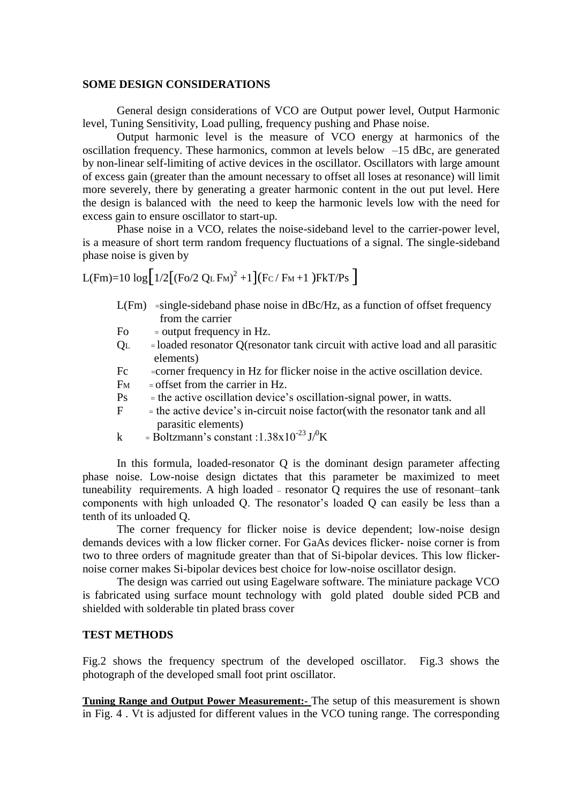### **SOME DESIGN CONSIDERATIONS**

General design considerations of VCO are Output power level, Output Harmonic level, Tuning Sensitivity, Load pulling, frequency pushing and Phase noise.

Output harmonic level is the measure of VCO energy at harmonics of the oscillation frequency. These harmonics, common at levels below –15 dBc, are generated by non-linear self-limiting of active devices in the oscillator. Oscillators with large amount of excess gain (greater than the amount necessary to offset all loses at resonance) will limit more severely, there by generating a greater harmonic content in the out put level. Here the design is balanced with the need to keep the harmonic levels low with the need for excess gain to ensure oscillator to start-up.

Phase noise in a VCO, relates the noise-sideband level to the carrier-power level, is a measure of short term random frequency fluctuations of a signal. The single-sideband phase noise is given by

$$
L(Fm)=10\,\log\Bigl[\,1/2\bigl[\left(Fo/2~Q_L\,F_M\right)^2+1\,\bigr]\bigl(Fc\,/\,F_M+1\,\bigr)\,FkT/Ps\,\Bigr]\,
$$

- L(Fm) =single-sideband phase noise in dBc/Hz, as a function of offset frequency from the carrier
- Fo  $=$  output frequency in Hz.
- QL = loaded resonator Q(resonator tank circuit with active load and all parasitic elements)
- Fc = corner frequency in Hz for flicker noise in the active oscillation device.
- $F_M$  = offset from the carrier in Hz.
- Ps <sup>=</sup> the active oscillation device's oscillation-signal power, in watts.
- $F =$  the active device's in-circuit noise factor(with the resonator tank and all parasitic elements)
- k = Boltzmann's constant :1.38x10<sup>-23</sup> J $\rm{J\textsuperscript{O}K}$

In this formula, loaded-resonator Q is the dominant design parameter affecting phase noise. Low-noise design dictates that this parameter be maximized to meet tuneability requirements. A high loaded – resonator Q requires the use of resonant–tank components with high unloaded Q. The resonator's loaded Q can easily be less than a tenth of its unloaded Q.

The corner frequency for flicker noise is device dependent; low-noise design demands devices with a low flicker corner. For GaAs devices flicker- noise corner is from two to three orders of magnitude greater than that of Si-bipolar devices. This low flickernoise corner makes Si-bipolar devices best choice for low-noise oscillator design.

The design was carried out using Eagelware software. The miniature package VCO is fabricated using surface mount technology with gold plated double sided PCB and shielded with solderable tin plated brass cover

## **TEST METHODS**

Fig.2 shows the frequency spectrum of the developed oscillator. Fig.3 shows the photograph of the developed small foot print oscillator.

**Tuning Range and Output Power Measurement:-** The setup of this measurement is shown in Fig. 4 . Vt is adjusted for different values in the VCO tuning range. The corresponding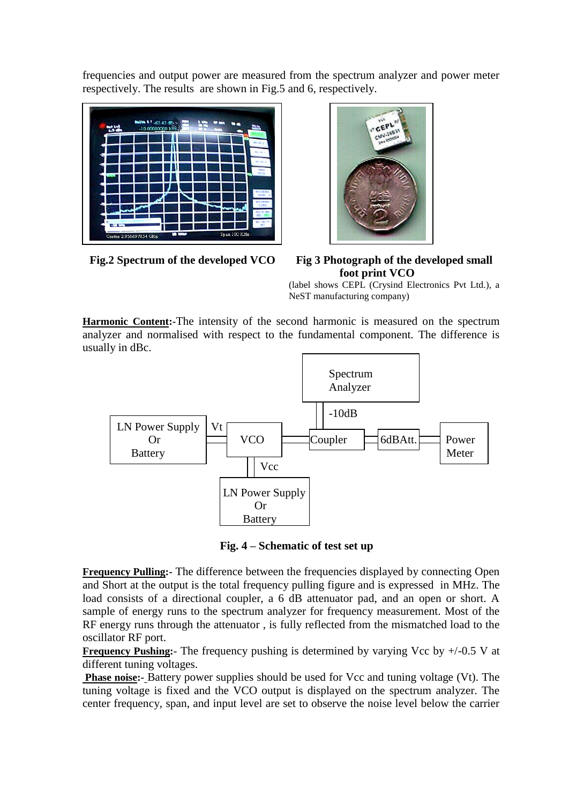frequencies and output power are measured from the spectrum analyzer and power meter respectively. The results are shown in Fig.5 and 6, respectively.





**Fig.2 Spectrum of the developed VCO Fig 3 Photograph of the developed small foot print VCO**

(label shows CEPL (Crysind Electronics Pvt Ltd.), a NeST manufacturing company)

**Harmonic Content:-**The intensity of the second harmonic is measured on the spectrum analyzer and normalised with respect to the fundamental component. The difference is usually in dBc.



**Fig. 4 – Schematic of test set up** 

**Frequency Pulling:** The difference between the frequencies displayed by connecting Open and Short at the output is the total frequency pulling figure and is expressed in MHz. The load consists of a directional coupler, a 6 dB attenuator pad, and an open or short. A sample of energy runs to the spectrum analyzer for frequency measurement. Most of the RF energy runs through the attenuator , is fully reflected from the mismatched load to the oscillator RF port.

**Frequency Pushing:** The frequency pushing is determined by varying Vcc by  $+/-0.5$  V at different tuning voltages.

**Phase noise:-** Battery power supplies should be used for Vcc and tuning voltage (Vt). The tuning voltage is fixed and the VCO output is displayed on the spectrum analyzer. The center frequency, span, and input level are set to observe the noise level below the carrier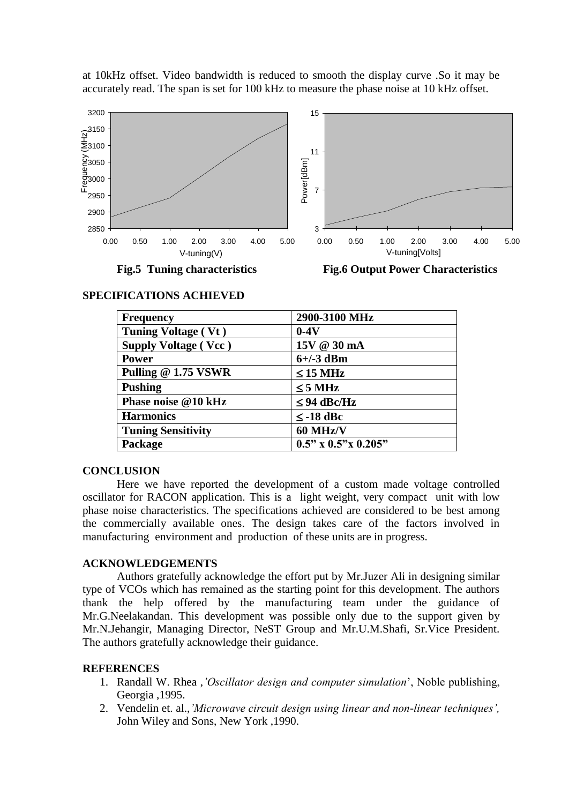at 10kHz offset. Video bandwidth is reduced to smooth the display curve .So it may be accurately read. The span is set for 100 kHz to measure the phase noise at 10 kHz offset.



| <b>Frequency</b>            | 2900-3100 MHz                 |
|-----------------------------|-------------------------------|
| Tuning Voltage (Vt)         | $0-4V$                        |
| <b>Supply Voltage (Vcc)</b> | 15V @ 30 mA                   |
| <b>Power</b>                | $6+/-3$ dBm                   |
| Pulling @ 1.75 VSWR         | $\leq$ 15 MHz                 |
| <b>Pushing</b>              | $\leq$ 5 MHz                  |
| Phase noise @10 kHz         | $\leq$ 94 dBc/Hz              |
| <b>Harmonics</b>            | $\leq$ -18 dBc                |
| <b>Tuning Sensitivity</b>   | 60 MHz/V                      |
| Package                     | $0.5$ " x $0.5$ " x $0.205$ " |

### **SPECIFICATIONS ACHIEVED**

#### **CONCLUSION**

Here we have reported the development of a custom made voltage controlled oscillator for RACON application. This is a light weight, very compact unit with low phase noise characteristics. The specifications achieved are considered to be best among the commercially available ones. The design takes care of the factors involved in manufacturing environment and production of these units are in progress.

#### **ACKNOWLEDGEMENTS**

Authors gratefully acknowledge the effort put by Mr.Juzer Ali in designing similar type of VCOs which has remained as the starting point for this development. The authors thank the help offered by the manufacturing team under the guidance of Mr.G.Neelakandan. This development was possible only due to the support given by Mr.N.Jehangir, Managing Director, NeST Group and Mr.U.M.Shafi, Sr.Vice President. The authors gratefully acknowledge their guidance.

#### **REFERENCES**

- 1. Randall W. Rhea ,*'Oscillator design and computer simulation*', Noble publishing, Georgia ,1995.
- 2. Vendelin et. al.,*'Microwave circuit design using linear and non-linear techniques',*  John Wiley and Sons, New York ,1990.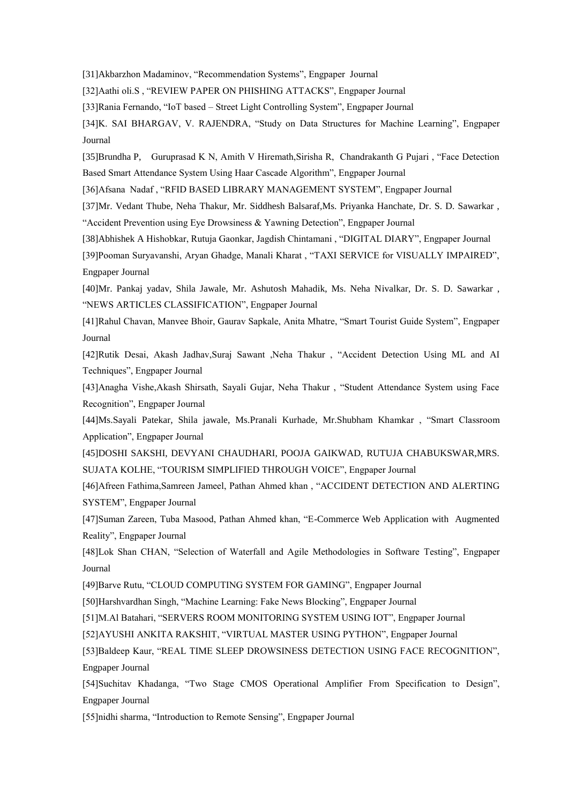[31]Akbarzhon Madaminov, "Recommendation Systems", Engpaper Journal

[32]Aathi oli.S , "REVIEW PAPER ON PHISHING ATTACKS", Engpaper Journal

[33]Rania Fernando, "IoT based – Street Light Controlling System", Engpaper Journal

[34]K. SAI BHARGAV, V. RAJENDRA, "Study on Data Structures for Machine Learning", Engpaper Journal

[35]Brundha P, Guruprasad K N, Amith V Hiremath,Sirisha R, Chandrakanth G Pujari , "Face Detection Based Smart Attendance System Using Haar Cascade Algorithm", Engpaper Journal

[36]Afsana Nadaf , "RFID BASED LIBRARY MANAGEMENT SYSTEM", Engpaper Journal

[37]Mr. Vedant Thube, Neha Thakur, Mr. Siddhesh Balsaraf,Ms. Priyanka Hanchate, Dr. S. D. Sawarkar , "Accident Prevention using Eye Drowsiness & Yawning Detection", Engpaper Journal

[38]Abhishek A Hishobkar, Rutuja Gaonkar, Jagdish Chintamani , "DIGITAL DIARY", Engpaper Journal

[39]Pooman Suryavanshi, Aryan Ghadge, Manali Kharat , "TAXI SERVICE for VISUALLY IMPAIRED", Engpaper Journal

[40]Mr. Pankaj yadav, Shila Jawale, Mr. Ashutosh Mahadik, Ms. Neha Nivalkar, Dr. S. D. Sawarkar , "NEWS ARTICLES CLASSIFICATION", Engpaper Journal

[41]Rahul Chavan, Manvee Bhoir, Gaurav Sapkale, Anita Mhatre, "Smart Tourist Guide System", Engpaper Journal

[42]Rutik Desai, Akash Jadhav,Suraj Sawant ,Neha Thakur , "Accident Detection Using ML and AI Techniques", Engpaper Journal

[43]Anagha Vishe,Akash Shirsath, Sayali Gujar, Neha Thakur , "Student Attendance System using Face Recognition", Engpaper Journal

[44]Ms.Sayali Patekar, Shila jawale, Ms.Pranali Kurhade, Mr.Shubham Khamkar , "Smart Classroom Application", Engpaper Journal

[45]DOSHI SAKSHI, DEVYANI CHAUDHARI, POOJA GAIKWAD, RUTUJA CHABUKSWAR,MRS. SUJATA KOLHE, "TOURISM SIMPLIFIED THROUGH VOICE", Engpaper Journal

[46]Afreen Fathima,Samreen Jameel, Pathan Ahmed khan , "ACCIDENT DETECTION AND ALERTING SYSTEM", Engpaper Journal

[47]Suman Zareen, Tuba Masood, Pathan Ahmed khan, "E-Commerce Web Application with Augmented Reality", Engpaper Journal

[48]Lok Shan CHAN, "Selection of Waterfall and Agile Methodologies in Software Testing", Engpaper Journal

[49]Barve Rutu, "CLOUD COMPUTING SYSTEM FOR GAMING", Engpaper Journal

[50]Harshvardhan Singh, "Machine Learning: Fake News Blocking", Engpaper Journal

[51]M.Al Batahari, "SERVERS ROOM MONITORING SYSTEM USING IOT", Engpaper Journal

[52]AYUSHI ANKITA RAKSHIT, "VIRTUAL MASTER USING PYTHON", Engpaper Journal

[53]Baldeep Kaur, "REAL TIME SLEEP DROWSINESS DETECTION USING FACE RECOGNITION", Engpaper Journal

[54]Suchitav Khadanga, "Two Stage CMOS Operational Amplifier From Specification to Design", Engpaper Journal

[55]nidhi sharma, "Introduction to Remote Sensing", Engpaper Journal